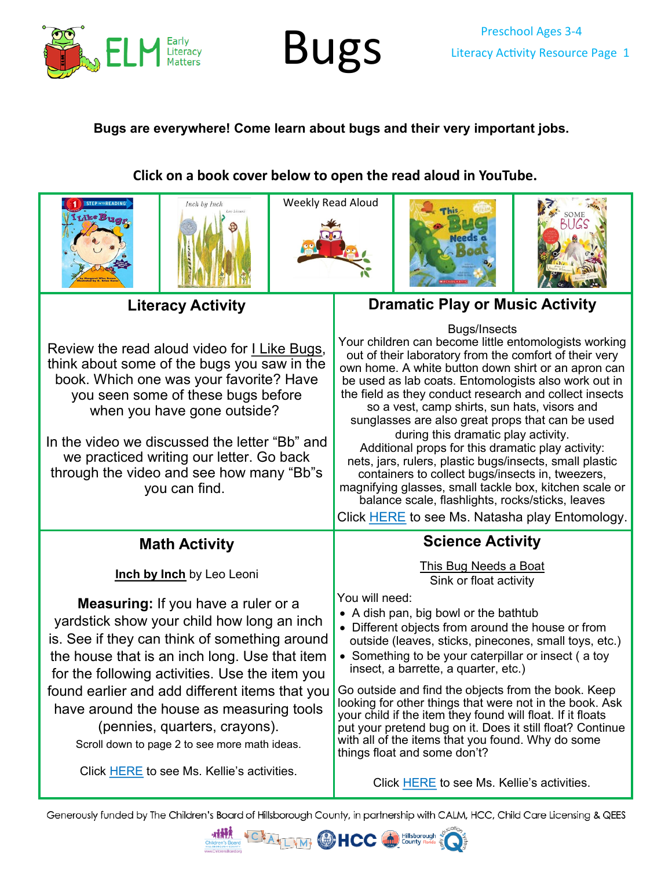

# Preschool Ages 3-4 **BUGS** Literacy Activity Resource Page 1

#### **Bugs are everywhere! Come learn about bugs and their very important jobs.**

#### **Click on a book cover below to open the read aloud in YouTube.**











#### **Literacy Activity**

Review the read aloud video for [I Like Bugs](https://youtu.be/-ovErh8K08k), think about some of the bugs you saw in the book. Which one was your favorite? Have you seen some of these bugs before when you have gone outside?

In the video we discussed the letter "Bb" and we practiced writing our letter. Go back through the video and see how many "Bb"s you can find.

### **Dramatic Play or Music Activity**

Bugs/Insects

Your children can become little entomologists working out of their laboratory from the comfort of their very own home. A white button down shirt or an apron can be used as lab coats. Entomologists also work out in the field as they conduct research and collect insects so a vest, camp shirts, sun hats, visors and sunglasses are also great props that can be used during this dramatic play activity. Additional props for this dramatic play activity: nets, jars, rulers, plastic bugs/insects, small plastic containers to collect bugs/insects in, tweezers, magnifying glasses, small tackle box, kitchen scale or balance scale, flashlights, rocks/sticks, leaves

Click [HERE](https://youtu.be/ILopIxtv-Fk) to see Ms. Natasha play Entomology.

### **Math Activity**

**[Inch by Inch](https://youtu.be/MS-KU91RSb4)** by Leo Leoni

**Measuring:** If you have a ruler or a yardstick show your child how long an inch is. See if they can think of something around the house that is an inch long. Use that item for the following activities. Use the item you found earlier and add different items that you have around the house as measuring tools (pennies, quarters, crayons). Scroll down to page 2 to see more math ideas.

Click [HERE](https://youtu.be/ePtejitFz-o) to see Ms. Kellie's activities.

#### **Science Activity**

[This Bug Needs a Boat](https://youtu.be/OgNWBZ_iJIc) Sink or float activity

You will need:

- A dish pan, big bowl or the bathtub
- Different objects from around the house or from outside (leaves, sticks, pinecones, small toys, etc.)
- Something to be your caterpillar or insect ( a toy insect, a barrette, a quarter, etc.)

Go outside and find the objects from the book. Keep looking for other things that were not in the book. Ask your child if the item they found will float. If it floats put your pretend bug on it. Does it still float? Continue with all of the items that you found. Why do some things float and some don't?

Click [HERE](https://youtu.be/OgNWBZ_iJIc) to see Ms. Kellie's activities.

Generously funded by The Children's Board of Hillsborough County, in partnership with CALM, HCC, Child Care Licensing & QEES